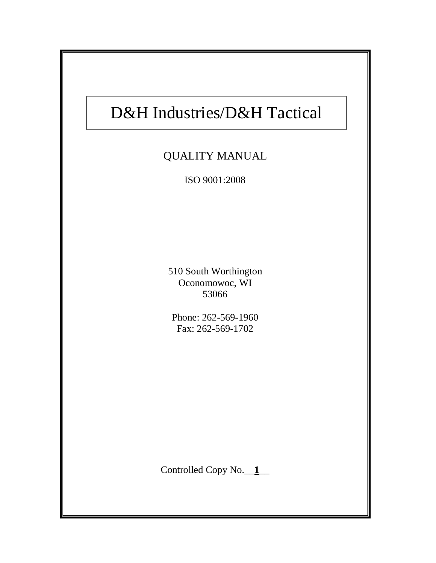# D&H Industries/D&H Tactical

٦

## QUALITY MANUAL

ISO 9001:2008

510 South Worthington Oconomowoc, WI 53066

Phone: 262-569-1960 Fax: 262-569-1702

Controlled Copy No.\_\_**1**\_\_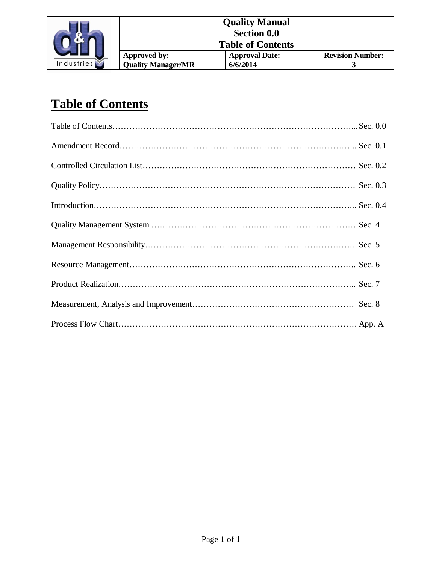

| <b>Quality Manual</b> |                           |                       |                         |
|-----------------------|---------------------------|-----------------------|-------------------------|
| <b>Section 0.0</b>    |                           |                       |                         |
|                       | <b>Table of Contents</b>  |                       |                         |
|                       | Approved by:              | <b>Approval Date:</b> | <b>Revision Number:</b> |
|                       | <b>Quality Manager/MR</b> | 6/6/2014              |                         |

## **Table of Contents**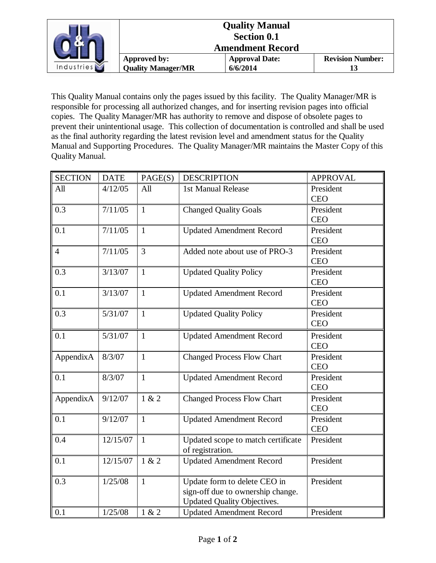|            |                           | <b>Quality Manual</b><br><b>Section 0.1</b><br><b>Amendment Record</b> |                         |
|------------|---------------------------|------------------------------------------------------------------------|-------------------------|
|            | Approved by:              | <b>Approval Date:</b>                                                  | <b>Revision Number:</b> |
| Industries | <b>Quality Manager/MR</b> | 6/6/2014                                                               |                         |

This Quality Manual contains only the pages issued by this facility. The Quality Manager/MR is responsible for processing all authorized changes, and for inserting revision pages into official copies. The Quality Manager/MR has authority to remove and dispose of obsolete pages to prevent their unintentional usage. This collection of documentation is controlled and shall be used as the final authority regarding the latest revision level and amendment status for the Quality Manual and Supporting Procedures. The Quality Manager/MR maintains the Master Copy of this Quality Manual.

| <b>SECTION</b> | <b>DATE</b> | PAGE(S)      | <b>DESCRIPTION</b>                 | <b>APPROVAL</b> |
|----------------|-------------|--------------|------------------------------------|-----------------|
| All            | 4/12/05     | All          | 1st Manual Release                 | President       |
|                |             |              |                                    | <b>CEO</b>      |
| 0.3            | 7/11/05     | $\mathbf{1}$ | <b>Changed Quality Goals</b>       | President       |
|                |             |              |                                    | <b>CEO</b>      |
| 0.1            | 7/11/05     | $\mathbf{1}$ | <b>Updated Amendment Record</b>    | President       |
|                |             |              |                                    | <b>CEO</b>      |
| $\overline{4}$ | 7/11/05     | 3            | Added note about use of PRO-3      | President       |
|                |             |              |                                    | <b>CEO</b>      |
| 0.3            | 3/13/07     | $\mathbf{1}$ | <b>Updated Quality Policy</b>      | President       |
|                |             |              |                                    | <b>CEO</b>      |
| 0.1            | 3/13/07     | $\mathbf{1}$ | <b>Updated Amendment Record</b>    | President       |
|                |             |              |                                    | <b>CEO</b>      |
| 0.3            | 5/31/07     | $\mathbf{1}$ | <b>Updated Quality Policy</b>      | President       |
|                |             |              |                                    | <b>CEO</b>      |
| 0.1            | 5/31/07     | $\mathbf{1}$ | <b>Updated Amendment Record</b>    | President       |
|                |             |              |                                    | <b>CEO</b>      |
| AppendixA      | 8/3/07      | $\mathbf{1}$ | <b>Changed Process Flow Chart</b>  | President       |
|                |             |              |                                    | <b>CEO</b>      |
| 0.1            | 8/3/07      | $\mathbf{1}$ | <b>Updated Amendment Record</b>    | President       |
|                |             |              |                                    | <b>CEO</b>      |
| AppendixA      | 9/12/07     | 1 & 2        | <b>Changed Process Flow Chart</b>  | President       |
|                |             |              |                                    | <b>CEO</b>      |
| 0.1            | 9/12/07     | $\mathbf{1}$ | <b>Updated Amendment Record</b>    | President       |
|                |             |              |                                    | <b>CEO</b>      |
| 0.4            | 12/15/07    | $\mathbf{1}$ | Updated scope to match certificate | President       |
|                |             |              | of registration.                   |                 |
| 0.1            | 12/15/07    | 1 & 2        | <b>Updated Amendment Record</b>    | President       |
|                |             |              |                                    |                 |
| 0.3            | 1/25/08     | $\mathbf{1}$ | Update form to delete CEO in       | President       |
|                |             |              | sign-off due to ownership change.  |                 |
|                |             |              | Updated Quality Objectives.        |                 |
| 0.1            | 1/25/08     | 1 & 2        | <b>Updated Amendment Record</b>    | President       |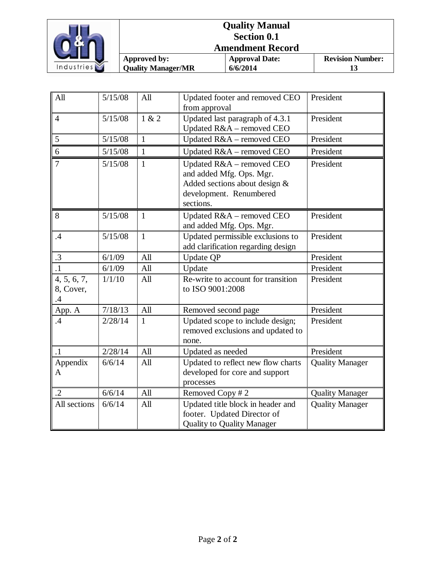

| <b>Quality Manual</b><br><b>Section 0.1</b><br><b>Amendment Record</b> |                                   |                         |
|------------------------------------------------------------------------|-----------------------------------|-------------------------|
| Approved by:<br><b>Quality Manager/MR</b>                              | <b>Approval Date:</b><br>6/6/2014 | <b>Revision Number:</b> |

| All                                   | 5/15/08 | All          | Updated footer and removed CEO<br>from approval                                                                                | President                     |
|---------------------------------------|---------|--------------|--------------------------------------------------------------------------------------------------------------------------------|-------------------------------|
| $\overline{4}$                        | 5/15/08 | 1 & 2        | Updated last paragraph of 4.3.1<br>Updated R&A - removed CEO                                                                   | President                     |
| 5                                     | 5/15/08 | $\mathbf{1}$ | Updated R&A - removed CEO                                                                                                      | President                     |
| 6                                     | 5/15/08 | $\mathbf{1}$ | Updated R&A - removed CEO                                                                                                      | President                     |
| $\overline{7}$                        | 5/15/08 | $\mathbf{1}$ | Updated R&A - removed CEO<br>and added Mfg. Ops. Mgr.<br>Added sections about design &<br>development. Renumbered<br>sections. | President                     |
| 8                                     | 5/15/08 | $\mathbf{1}$ | Updated R&A - removed CEO<br>and added Mfg. Ops. Mgr.                                                                          | President                     |
| .4                                    | 5/15/08 | $\mathbf{1}$ | Updated permissible exclusions to<br>add clarification regarding design                                                        | President                     |
| $\cdot$ 3                             | 6/1/09  | All          | <b>Update QP</b>                                                                                                               | President                     |
| $\cdot$ 1                             | 6/1/09  | All          | Update                                                                                                                         | President                     |
| 4, 5, 6, 7,<br>8, Cover,<br>$\cdot$ 4 | 1/1/10  | All          | Re-write to account for transition<br>to ISO 9001:2008                                                                         | President                     |
| App. A                                | 7/18/13 | All          | Removed second page                                                                                                            | $\overline{\text{President}}$ |
| $\mathcal{A}$                         | 2/28/14 | $\mathbf{1}$ | Updated scope to include design;<br>removed exclusions and updated to<br>none.                                                 | President                     |
| $\cdot$ 1                             | 2/28/14 | All          | Updated as needed                                                                                                              | President                     |
| Appendix<br>$\mathbf{A}$              | 6/6/14  | All          | Updated to reflect new flow charts<br>developed for core and support<br>processes                                              | <b>Quality Manager</b>        |
| $\overline{.2}$                       | 6/6/14  | All          | Removed Copy #2                                                                                                                | <b>Quality Manager</b>        |
| All sections                          | 6/6/14  | All          | Updated title block in header and<br>footer. Updated Director of<br><b>Quality to Quality Manager</b>                          | <b>Quality Manager</b>        |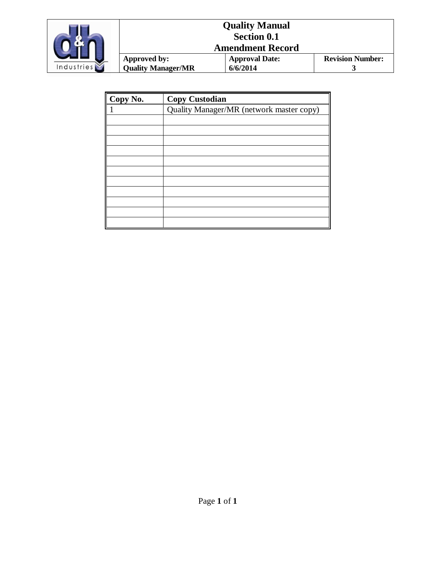

|                    |                           | <b>Quality Manual</b> |                         |
|--------------------|---------------------------|-----------------------|-------------------------|
| <b>Section 0.1</b> |                           |                       |                         |
|                    | <b>Amendment Record</b>   |                       |                         |
|                    | Approved by:              | <b>Approval Date:</b> | <b>Revision Number:</b> |
|                    | <b>Quality Manager/MR</b> | 6/6/2014              |                         |

| Copy No. | <b>Copy Custodian</b>                    |
|----------|------------------------------------------|
| 1        | Quality Manager/MR (network master copy) |
|          |                                          |
|          |                                          |
|          |                                          |
|          |                                          |
|          |                                          |
|          |                                          |
|          |                                          |
|          |                                          |
|          |                                          |
|          |                                          |
|          |                                          |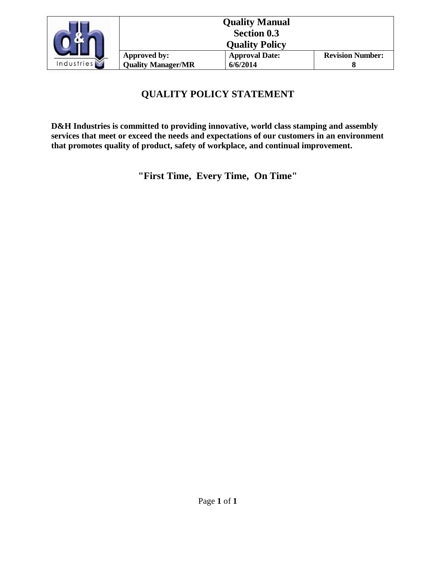

|                           | <b>Quality Manual</b> |                         |  |
|---------------------------|-----------------------|-------------------------|--|
| <b>Section 0.3</b>        |                       |                         |  |
| <b>Quality Policy</b>     |                       |                         |  |
| Approved by:              | <b>Approval Date:</b> | <b>Revision Number:</b> |  |
| <b>Quality Manager/MR</b> | 6/6/2014              |                         |  |

### **QUALITY POLICY STATEMENT**

**D&H Industries is committed to providing innovative, world class stamping and assembly services that meet or exceed the needs and expectations of our customers in an environment that promotes quality of product, safety of workplace, and continual improvement.** 

**"First Time, Every Time, On Time"**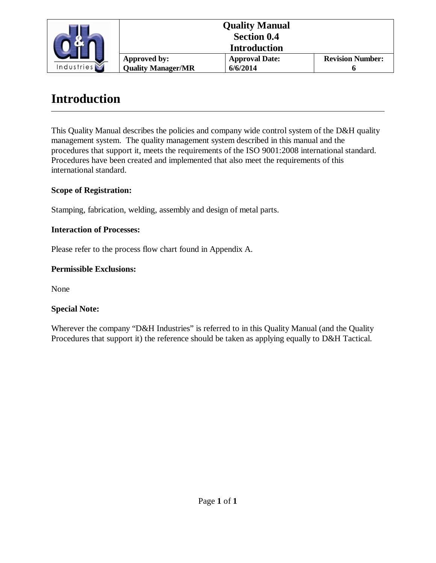

|  | <b>Quality Manual</b><br><b>Section 0.4</b><br><b>Introduction</b> |                         |  |
|--|--------------------------------------------------------------------|-------------------------|--|
|  |                                                                    |                         |  |
|  |                                                                    |                         |  |
|  | Approved by:                                                       | <b>Revision Number:</b> |  |
|  | <b>Quality Manager/MR</b>                                          | 6/6/2014                |  |

## **Introduction**

This Quality Manual describes the policies and company wide control system of the D&H quality management system. The quality management system described in this manual and the procedures that support it, meets the requirements of the ISO 9001:2008 international standard. Procedures have been created and implemented that also meet the requirements of this international standard.

#### **Scope of Registration:**

Stamping, fabrication, welding, assembly and design of metal parts.

#### **Interaction of Processes:**

Please refer to the process flow chart found in Appendix A.

#### **Permissible Exclusions:**

None

#### **Special Note:**

Wherever the company "D&H Industries" is referred to in this Quality Manual (and the Quality Procedures that support it) the reference should be taken as applying equally to D&H Tactical.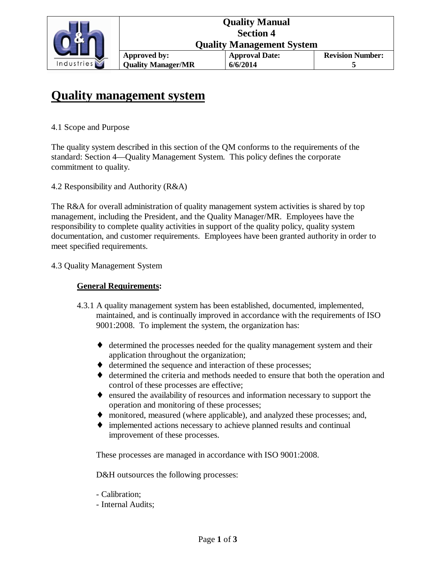

## **Quality management system**

#### 4.1 Scope and Purpose

The quality system described in this section of the QM conforms to the requirements of the standard: Section 4—Quality Management System. This policy defines the corporate commitment to quality.

4.2 Responsibility and Authority (R&A)

The R&A for overall administration of quality management system activities is shared by top management, including the President, and the Quality Manager/MR. Employees have the responsibility to complete quality activities in support of the quality policy, quality system documentation, and customer requirements. Employees have been granted authority in order to meet specified requirements.

4.3 Quality Management System

#### **General Requirements:**

- 4.3.1 A quality management system has been established, documented, implemented, maintained, and is continually improved in accordance with the requirements of ISO 9001:2008. To implement the system, the organization has:
	- ♦ determined the processes needed for the quality management system and their application throughout the organization;
	- ♦ determined the sequence and interaction of these processes;
	- ♦ determined the criteria and methods needed to ensure that both the operation and control of these processes are effective;
	- ♦ ensured the availability of resources and information necessary to support the operation and monitoring of these processes;
	- ♦ monitored, measured (where applicable), and analyzed these processes; and,
	- ♦ implemented actions necessary to achieve planned results and continual improvement of these processes.

These processes are managed in accordance with ISO 9001:2008.

D&H outsources the following processes:

- Calibration;
- Internal Audits;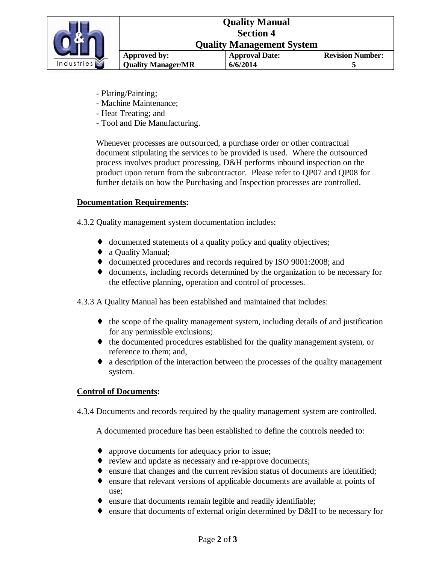

- Plating/Painting;
- Machine Maintenance;
- Heat Treating; and
- Tool and Die Manufacturing.

Whenever processes are outsourced, a purchase order or other contractual document stipulating the services to be provided is used. Where the outsourced process involves product processing, D&H performs inbound inspection on the product upon return from the subcontractor. Please refer to QP07 and QP08 for further details on how the Purchasing and Inspection processes are controlled.

#### **Documentation Requirements:**

4.3.2 Quality management system documentation includes:

- ♦ documented statements of a quality policy and quality objectives;
- ♦ a Quality Manual;
- ♦ documented procedures and records required by ISO 9001:2008; and
- ♦ documents, including records determined by the organization to be necessary for the effective planning, operation and control of processes.
- 4.3.3 A Quality Manual has been established and maintained that includes:
	- $\bullet$  the scope of the quality management system, including details of and justification for any permissible exclusions;
	- ♦ the documented procedures established for the quality management system, or reference to them; and,
	- ♦ a description of the interaction between the processes of the quality management system.

#### **Control of Documents:**

4.3.4 Documents and records required by the quality management system are controlled.

A documented procedure has been established to define the controls needed to:

- ♦ approve documents for adequacy prior to issue;
- ♦ review and update as necessary and re-approve documents;
- ♦ ensure that changes and the current revision status of documents are identified;
- ♦ ensure that relevant versions of applicable documents are available at points of use;
- ♦ ensure that documents remain legible and readily identifiable;
- ♦ ensure that documents of external origin determined by D&H to be necessary for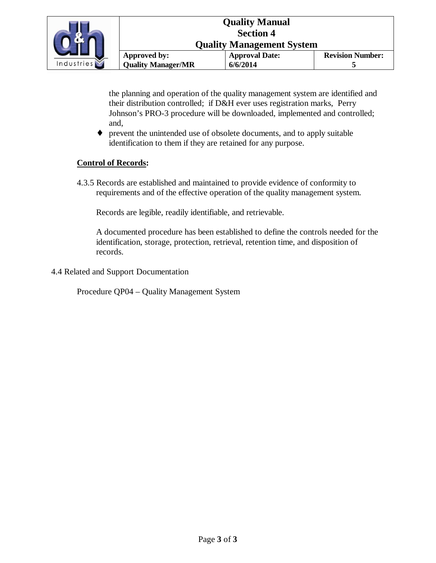

the planning and operation of the quality management system are identified and their distribution controlled; if D&H ever uses registration marks, Perry Johnson's PRO-3 procedure will be downloaded, implemented and controlled; and,

♦ prevent the unintended use of obsolete documents, and to apply suitable identification to them if they are retained for any purpose.

### **Control of Records:**

4.3.5 Records are established and maintained to provide evidence of conformity to requirements and of the effective operation of the quality management system.

Records are legible, readily identifiable, and retrievable.

A documented procedure has been established to define the controls needed for the identification, storage, protection, retrieval, retention time, and disposition of records.

4.4 Related and Support Documentation

Procedure QP04 – Quality Management System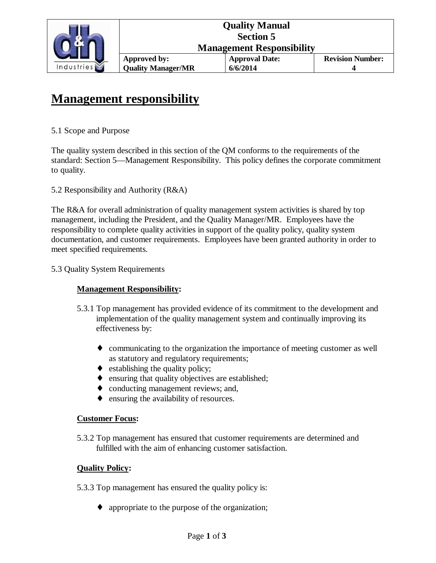

## **Management responsibility**

#### 5.1 Scope and Purpose

The quality system described in this section of the QM conforms to the requirements of the standard: Section 5—Management Responsibility. This policy defines the corporate commitment to quality.

#### 5.2 Responsibility and Authority (R&A)

The R&A for overall administration of quality management system activities is shared by top management, including the President, and the Quality Manager/MR. Employees have the responsibility to complete quality activities in support of the quality policy, quality system documentation, and customer requirements. Employees have been granted authority in order to meet specified requirements.

#### 5.3 Quality System Requirements

#### **Management Responsibility:**

- 5.3.1 Top management has provided evidence of its commitment to the development and implementation of the quality management system and continually improving its effectiveness by:
	- ♦ communicating to the organization the importance of meeting customer as well as statutory and regulatory requirements;
	- $\bullet$  establishing the quality policy;
	- ♦ ensuring that quality objectives are established;
	- ♦ conducting management reviews; and,
	- ♦ ensuring the availability of resources.

#### **Customer Focus:**

5.3.2 Top management has ensured that customer requirements are determined and fulfilled with the aim of enhancing customer satisfaction.

#### **Quality Policy:**

- 5.3.3 Top management has ensured the quality policy is:
	- ♦ appropriate to the purpose of the organization;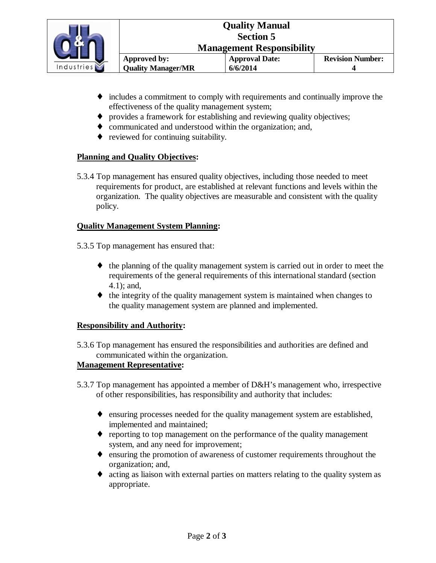

- ♦ includes a commitment to comply with requirements and continually improve the effectiveness of the quality management system;
- ♦ provides a framework for establishing and reviewing quality objectives;
- ♦ communicated and understood within the organization; and,
- ♦ reviewed for continuing suitability.

#### **Planning and Quality Objectives:**

5.3.4 Top management has ensured quality objectives, including those needed to meet requirements for product, are established at relevant functions and levels within the organization. The quality objectives are measurable and consistent with the quality policy.

#### **Quality Management System Planning:**

5.3.5 Top management has ensured that:

- ♦ the planning of the quality management system is carried out in order to meet the requirements of the general requirements of this international standard (section 4.1); and,
- ♦ the integrity of the quality management system is maintained when changes to the quality management system are planned and implemented.

#### **Responsibility and Authority:**

5.3.6 Top management has ensured the responsibilities and authorities are defined and communicated within the organization.

#### **Management Representative:**

- 5.3.7 Top management has appointed a member of D&H's management who, irrespective of other responsibilities, has responsibility and authority that includes:
	- ♦ ensuring processes needed for the quality management system are established, implemented and maintained;
	- ♦ reporting to top management on the performance of the quality management system, and any need for improvement;
	- ♦ ensuring the promotion of awareness of customer requirements throughout the organization; and,
	- ♦ acting as liaison with external parties on matters relating to the quality system as appropriate.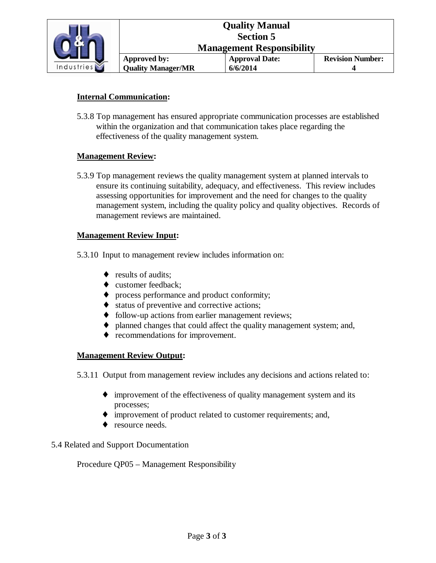

#### **Internal Communication:**

5.3.8 Top management has ensured appropriate communication processes are established within the organization and that communication takes place regarding the effectiveness of the quality management system.

#### **Management Review:**

5.3.9 Top management reviews the quality management system at planned intervals to ensure its continuing suitability, adequacy, and effectiveness. This review includes assessing opportunities for improvement and the need for changes to the quality management system, including the quality policy and quality objectives. Records of management reviews are maintained.

#### **Management Review Input:**

- 5.3.10 Input to management review includes information on:
	- ◆ results of audits:
	- ♦ customer feedback;
	- ♦ process performance and product conformity;
	- ♦ status of preventive and corrective actions;
	- ♦ follow-up actions from earlier management reviews;
	- ♦ planned changes that could affect the quality management system; and,
	- ♦ recommendations for improvement.

#### **Management Review Output:**

5.3.11 Output from management review includes any decisions and actions related to:

- ♦ improvement of the effectiveness of quality management system and its processes;
- ♦ improvement of product related to customer requirements; and,
- resource needs.

#### 5.4 Related and Support Documentation

Procedure QP05 – Management Responsibility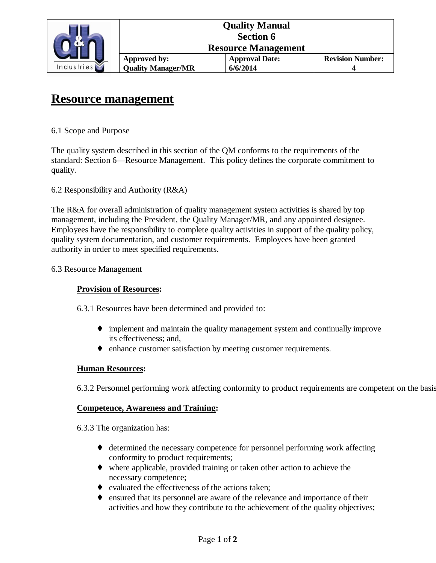

## **Resource management**

6.1 Scope and Purpose

The quality system described in this section of the QM conforms to the requirements of the standard: Section 6—Resource Management. This policy defines the corporate commitment to quality.

6.2 Responsibility and Authority (R&A)

The R&A for overall administration of quality management system activities is shared by top management, including the President, the Quality Manager/MR, and any appointed designee. Employees have the responsibility to complete quality activities in support of the quality policy, quality system documentation, and customer requirements. Employees have been granted authority in order to meet specified requirements.

#### 6.3 Resource Management

#### **Provision of Resources:**

6.3.1 Resources have been determined and provided to:

- ♦ implement and maintain the quality management system and continually improve its effectiveness; and,
- ♦ enhance customer satisfaction by meeting customer requirements.

#### **Human Resources:**

6.3.2 Personnel performing work affecting conformity to product requirements are competent on the basis

#### **Competence, Awareness and Training:**

6.3.3 The organization has:

- ♦ determined the necessary competence for personnel performing work affecting conformity to product requirements;
- ♦ where applicable, provided training or taken other action to achieve the necessary competence;
- ♦ evaluated the effectiveness of the actions taken;
- ♦ ensured that its personnel are aware of the relevance and importance of their activities and how they contribute to the achievement of the quality objectives;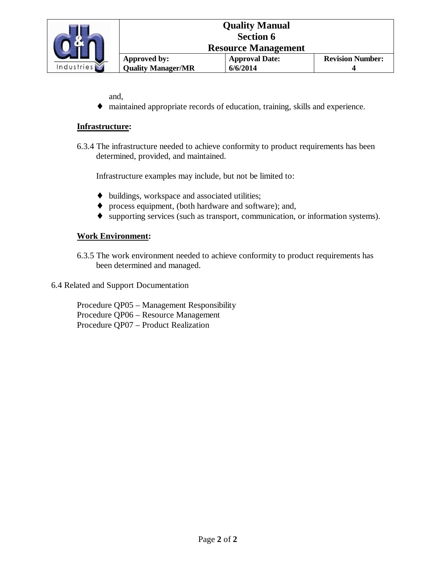

and,

♦ maintained appropriate records of education, training, skills and experience.

#### **Infrastructure:**

6.3.4 The infrastructure needed to achieve conformity to product requirements has been determined, provided, and maintained.

Infrastructure examples may include, but not be limited to:

- ♦ buildings, workspace and associated utilities;
- ♦ process equipment, (both hardware and software); and,
- ♦ supporting services (such as transport, communication, or information systems).

#### **Work Environment:**

6.3.5 The work environment needed to achieve conformity to product requirements has been determined and managed.

6.4 Related and Support Documentation

 Procedure QP05 – Management Responsibility Procedure QP06 – Resource Management Procedure QP07 – Product Realization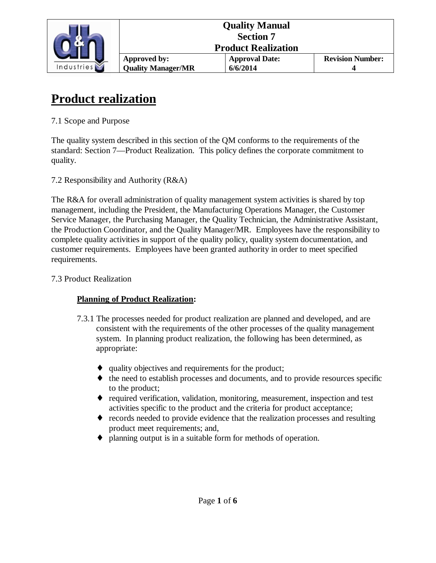

## **Product realization**

7.1 Scope and Purpose

The quality system described in this section of the QM conforms to the requirements of the standard: Section 7—Product Realization. This policy defines the corporate commitment to quality.

7.2 Responsibility and Authority (R&A)

The R&A for overall administration of quality management system activities is shared by top management, including the President, the Manufacturing Operations Manager, the Customer Service Manager, the Purchasing Manager, the Quality Technician, the Administrative Assistant, the Production Coordinator, and the Quality Manager/MR. Employees have the responsibility to complete quality activities in support of the quality policy, quality system documentation, and customer requirements. Employees have been granted authority in order to meet specified requirements.

#### 7.3 Product Realization

### **Planning of Product Realization:**

- 7.3.1 The processes needed for product realization are planned and developed, and are consistent with the requirements of the other processes of the quality management system. In planning product realization, the following has been determined, as appropriate:
	- ♦ quality objectives and requirements for the product;
	- ♦ the need to establish processes and documents, and to provide resources specific to the product;
	- ♦ required verification, validation, monitoring, measurement, inspection and test activities specific to the product and the criteria for product acceptance;
	- ♦ records needed to provide evidence that the realization processes and resulting product meet requirements; and,
	- ♦ planning output is in a suitable form for methods of operation.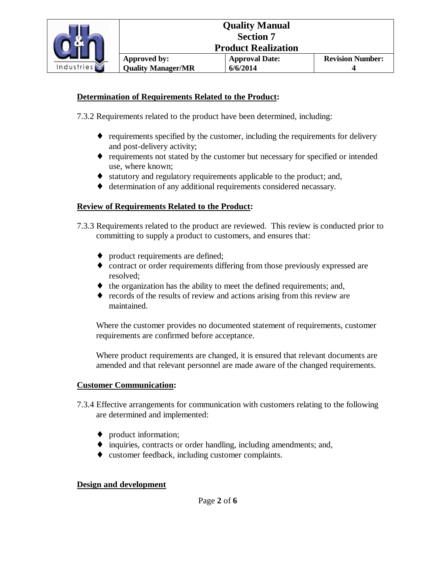

#### **Determination of Requirements Related to the Product:**

7.3.2 Requirements related to the product have been determined, including:

- ♦ requirements specified by the customer, including the requirements for delivery and post-delivery activity;
- ♦ requirements not stated by the customer but necessary for specified or intended use, where known;
- ♦ statutory and regulatory requirements applicable to the product; and,
- ♦ determination of any additional requirements considered necassary.

#### **Review of Requirements Related to the Product:**

7.3.3 Requirements related to the product are reviewed. This review is conducted prior to committing to supply a product to customers, and ensures that:

- ♦ product requirements are defined;
- ♦ contract or order requirements differing from those previously expressed are resolved;
- $\bullet$  the organization has the ability to meet the defined requirements; and,
- ♦ records of the results of review and actions arising from this review are maintained.

Where the customer provides no documented statement of requirements, customer requirements are confirmed before acceptance.

Where product requirements are changed, it is ensured that relevant documents are amended and that relevant personnel are made aware of the changed requirements.

#### **Customer Communication:**

- 7.3.4 Effective arrangements for communication with customers relating to the following are determined and implemented:
	- ♦ product information;
	- ♦ inquiries, contracts or order handling, including amendments; and,
	- ♦ customer feedback, including customer complaints.

#### **Design and development**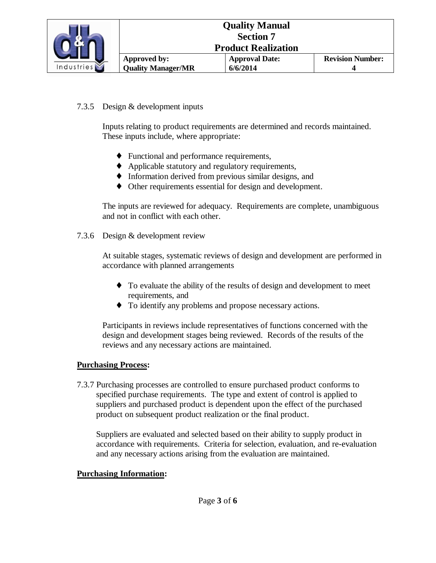

#### 7.3.5 Design & development inputs

Inputs relating to product requirements are determined and records maintained. These inputs include, where appropriate:

- ♦ Functional and performance requirements,
- ♦ Applicable statutory and regulatory requirements,
- ♦ Information derived from previous similar designs, and
- ♦ Other requirements essential for design and development.

The inputs are reviewed for adequacy. Requirements are complete, unambiguous and not in conflict with each other.

7.3.6 Design & development review

At suitable stages, systematic reviews of design and development are performed in accordance with planned arrangements

- ♦ To evaluate the ability of the results of design and development to meet requirements, and
- ♦ To identify any problems and propose necessary actions.

Participants in reviews include representatives of functions concerned with the design and development stages being reviewed. Records of the results of the reviews and any necessary actions are maintained.

#### **Purchasing Process:**

7.3.7 Purchasing processes are controlled to ensure purchased product conforms to specified purchase requirements. The type and extent of control is applied to suppliers and purchased product is dependent upon the effect of the purchased product on subsequent product realization or the final product.

Suppliers are evaluated and selected based on their ability to supply product in accordance with requirements. Criteria for selection, evaluation, and re-evaluation and any necessary actions arising from the evaluation are maintained.

#### **Purchasing Information:**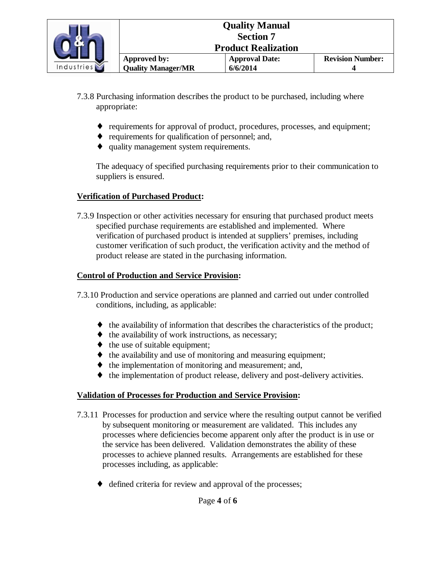

- 7.3.8 Purchasing information describes the product to be purchased, including where appropriate:
	- ♦ requirements for approval of product, procedures, processes, and equipment;
	- ♦ requirements for qualification of personnel; and,
	- ♦ quality management system requirements.

The adequacy of specified purchasing requirements prior to their communication to suppliers is ensured.

#### **Verification of Purchased Product:**

7.3.9 Inspection or other activities necessary for ensuring that purchased product meets specified purchase requirements are established and implemented. Where verification of purchased product is intended at suppliers' premises, including customer verification of such product, the verification activity and the method of product release are stated in the purchasing information.

#### **Control of Production and Service Provision:**

- 7.3.10 Production and service operations are planned and carried out under controlled conditions, including, as applicable:
	- $\bullet$  the availability of information that describes the characteristics of the product;
	- ♦ the availability of work instructions, as necessary;
	- $\bullet$  the use of suitable equipment;
	- ♦ the availability and use of monitoring and measuring equipment;
	- ♦ the implementation of monitoring and measurement; and,
	- ♦ the implementation of product release, delivery and post-delivery activities.

#### **Validation of Processes for Production and Service Provision:**

- 7.3.11 Processes for production and service where the resulting output cannot be verified by subsequent monitoring or measurement are validated. This includes any processes where deficiencies become apparent only after the product is in use or the service has been delivered. Validation demonstrates the ability of these processes to achieve planned results. Arrangements are established for these processes including, as applicable:
	- ♦ defined criteria for review and approval of the processes;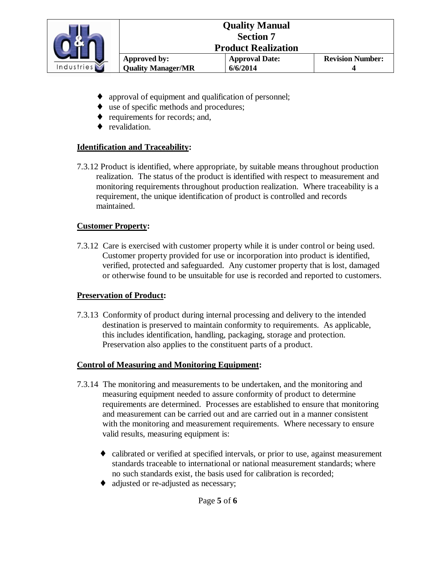

- approval of equipment and qualification of personnel;
- ♦ use of specific methods and procedures;
- ♦ requirements for records; and,
- ♦ revalidation.

#### **Identification and Traceability:**

7.3.12 Product is identified, where appropriate, by suitable means throughout production realization. The status of the product is identified with respect to measurement and monitoring requirements throughout production realization. Where traceability is a requirement, the unique identification of product is controlled and records maintained.

#### **Customer Property:**

7.3.12 Care is exercised with customer property while it is under control or being used. Customer property provided for use or incorporation into product is identified, verified, protected and safeguarded. Any customer property that is lost, damaged or otherwise found to be unsuitable for use is recorded and reported to customers.

#### **Preservation of Product:**

7.3.13 Conformity of product during internal processing and delivery to the intended destination is preserved to maintain conformity to requirements. As applicable, this includes identification, handling, packaging, storage and protection. Preservation also applies to the constituent parts of a product.

#### **Control of Measuring and Monitoring Equipment:**

- 7.3.14 The monitoring and measurements to be undertaken, and the monitoring and measuring equipment needed to assure conformity of product to determine requirements are determined. Processes are established to ensure that monitoring and measurement can be carried out and are carried out in a manner consistent with the monitoring and measurement requirements. Where necessary to ensure valid results, measuring equipment is:
	- ♦ calibrated or verified at specified intervals, or prior to use, against measurement standards traceable to international or national measurement standards; where no such standards exist, the basis used for calibration is recorded;
	- ♦ adjusted or re-adjusted as necessary;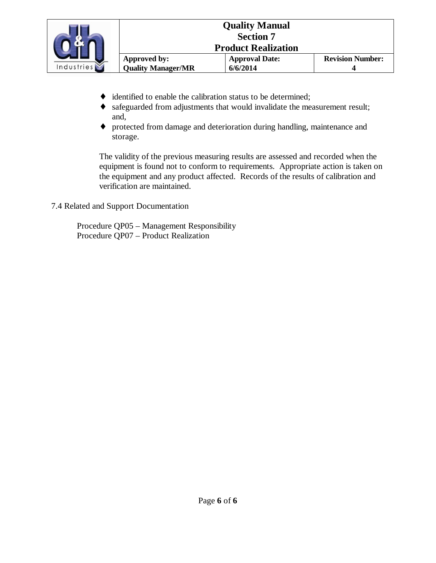

|                            | <b>Quality Manual</b><br><b>Section 7</b> |                         |
|----------------------------|-------------------------------------------|-------------------------|
| <b>Product Realization</b> |                                           |                         |
| Approved by:               | <b>Approval Date:</b>                     | <b>Revision Number:</b> |
| <b>Quality Manager/MR</b>  | 6/6/2014                                  |                         |

- ♦ identified to enable the calibration status to be determined;
- ♦ safeguarded from adjustments that would invalidate the measurement result; and,
- ♦ protected from damage and deterioration during handling, maintenance and storage.

The validity of the previous measuring results are assessed and recorded when the equipment is found not to conform to requirements. Appropriate action is taken on the equipment and any product affected. Records of the results of calibration and verification are maintained.

7.4 Related and Support Documentation

 Procedure QP05 – Management Responsibility Procedure QP07 – Product Realization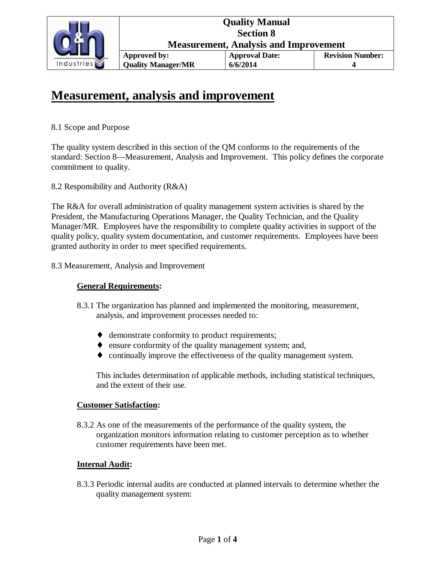

## **Measurement, analysis and improvement**

### 8.1 Scope and Purpose

The quality system described in this section of the QM conforms to the requirements of the standard: Section 8—Measurement, Analysis and Improvement. This policy defines the corporate commitment to quality.

8.2 Responsibility and Authority (R&A)

The R&A for overall administration of quality management system activities is shared by the President, the Manufacturing Operations Manager, the Quality Technician, and the Quality Manager/MR. Employees have the responsibility to complete quality activities in support of the quality policy, quality system documentation, and customer requirements. Employees have been granted authority in order to meet specified requirements.

### 8.3 Measurement, Analysis and Improvement

### **General Requirements:**

- 8.3.1 The organization has planned and implemented the monitoring, measurement, analysis, and improvement processes needed to:
	- ♦ demonstrate conformity to product requirements;
	- ♦ ensure conformity of the quality management system; and,
	- ♦ continually improve the effectiveness of the quality management system.

This includes determination of applicable methods, including statistical techniques, and the extent of their use.

### **Customer Satisfaction:**

8.3.2 As one of the measurements of the performance of the quality system, the organization monitors information relating to customer perception as to whether customer requirements have been met.

### **Internal Audit:**

8.3.3 Periodic internal audits are conducted at planned intervals to determine whether the quality management system: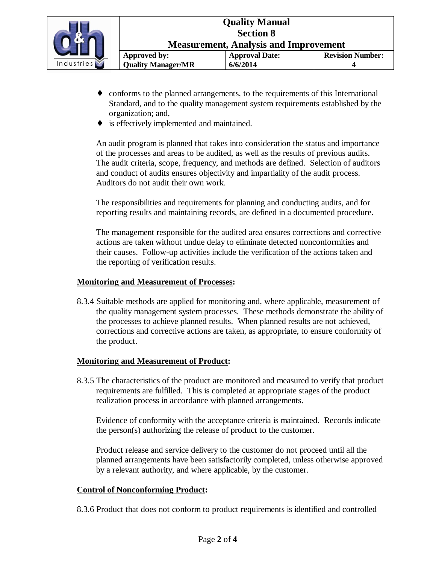

- ♦ conforms to the planned arrangements, to the requirements of this International Standard, and to the quality management system requirements established by the organization; and,
- ♦ is effectively implemented and maintained.

An audit program is planned that takes into consideration the status and importance of the processes and areas to be audited, as well as the results of previous audits. The audit criteria, scope, frequency, and methods are defined. Selection of auditors and conduct of audits ensures objectivity and impartiality of the audit process. Auditors do not audit their own work.

The responsibilities and requirements for planning and conducting audits, and for reporting results and maintaining records, are defined in a documented procedure.

The management responsible for the audited area ensures corrections and corrective actions are taken without undue delay to eliminate detected nonconformities and their causes. Follow-up activities include the verification of the actions taken and the reporting of verification results.

#### **Monitoring and Measurement of Processes:**

8.3.4 Suitable methods are applied for monitoring and, where applicable, measurement of the quality management system processes. These methods demonstrate the ability of the processes to achieve planned results. When planned results are not achieved, corrections and corrective actions are taken, as appropriate, to ensure conformity of the product.

#### **Monitoring and Measurement of Product:**

8.3.5 The characteristics of the product are monitored and measured to verify that product requirements are fulfilled. This is completed at appropriate stages of the product realization process in accordance with planned arrangements.

Evidence of conformity with the acceptance criteria is maintained. Records indicate the person(s) authorizing the release of product to the customer.

Product release and service delivery to the customer do not proceed until all the planned arrangements have been satisfactorily completed, unless otherwise approved by a relevant authority, and where applicable, by the customer.

#### **Control of Nonconforming Product:**

8.3.6 Product that does not conform to product requirements is identified and controlled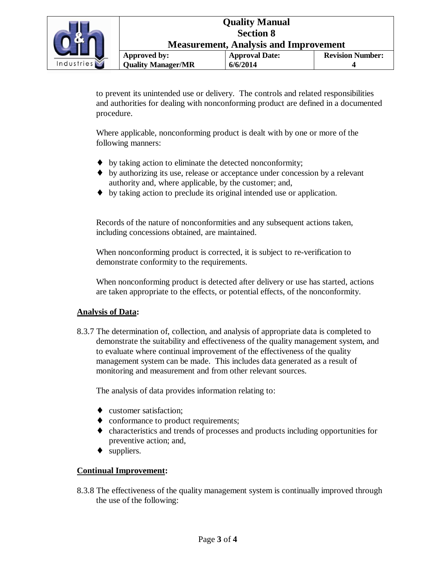

**Measurement, Analysis and Improvement** 

|                      | Approved by:              | <b>Approval Date:</b> | <b>Revision Number:</b> |
|----------------------|---------------------------|-----------------------|-------------------------|
| $\tilde{\mathbf{N}}$ | <b>Quality Manager/MR</b> | 6/6/2014              |                         |

to prevent its unintended use or delivery. The controls and related responsibilities and authorities for dealing with nonconforming product are defined in a documented procedure.

Where applicable, nonconforming product is dealt with by one or more of the following manners:

- ♦ by taking action to eliminate the detected nonconformity;
- ♦ by authorizing its use, release or acceptance under concession by a relevant authority and, where applicable, by the customer; and,
- ♦ by taking action to preclude its original intended use or application.

Records of the nature of nonconformities and any subsequent actions taken, including concessions obtained, are maintained.

When nonconforming product is corrected, it is subject to re-verification to demonstrate conformity to the requirements.

When nonconforming product is detected after delivery or use has started, actions are taken appropriate to the effects, or potential effects, of the nonconformity.

#### **Analysis of Data:**

8.3.7 The determination of, collection, and analysis of appropriate data is completed to demonstrate the suitability and effectiveness of the quality management system, and to evaluate where continual improvement of the effectiveness of the quality management system can be made. This includes data generated as a result of monitoring and measurement and from other relevant sources.

The analysis of data provides information relating to:

- ♦ customer satisfaction;
- ♦ conformance to product requirements;
- ♦ characteristics and trends of processes and products including opportunities for preventive action; and,
- ♦ suppliers.

#### **Continual Improvement:**

 8.3.8 The effectiveness of the quality management system is continually improved through the use of the following: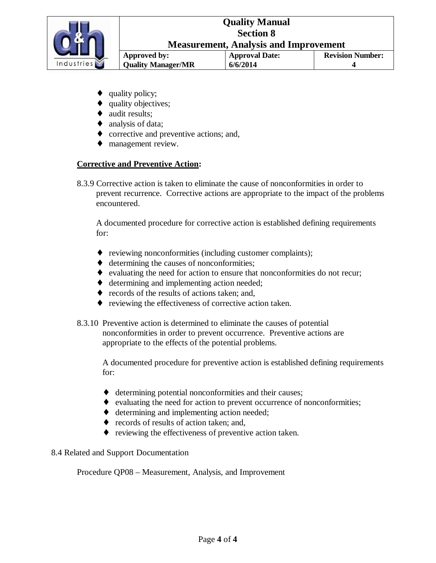

- quality policy;
- quality objectives;
- ♦ audit results;
- $\bullet$  analysis of data;
- ♦ corrective and preventive actions; and,
- ♦ management review.

#### **Corrective and Preventive Action:**

8.3.9 Corrective action is taken to eliminate the cause of nonconformities in order to prevent recurrence. Corrective actions are appropriate to the impact of the problems encountered.

 A documented procedure for corrective action is established defining requirements for:

- ♦ reviewing nonconformities (including customer complaints);
- ♦ determining the causes of nonconformities;
- ♦ evaluating the need for action to ensure that nonconformities do not recur;
- ♦ determining and implementing action needed;
- ♦ records of the results of actions taken; and,
- ♦ reviewing the effectiveness of corrective action taken.
- 8.3.10 Preventive action is determined to eliminate the causes of potential nonconformities in order to prevent occurrence. Preventive actions are appropriate to the effects of the potential problems.

A documented procedure for preventive action is established defining requirements for:

- ♦ determining potential nonconformities and their causes;
- ♦ evaluating the need for action to prevent occurrence of nonconformities;
- ♦ determining and implementing action needed;
- ♦ records of results of action taken; and,
- ♦ reviewing the effectiveness of preventive action taken.

#### 8.4 Related and Support Documentation

Procedure QP08 – Measurement, Analysis, and Improvement